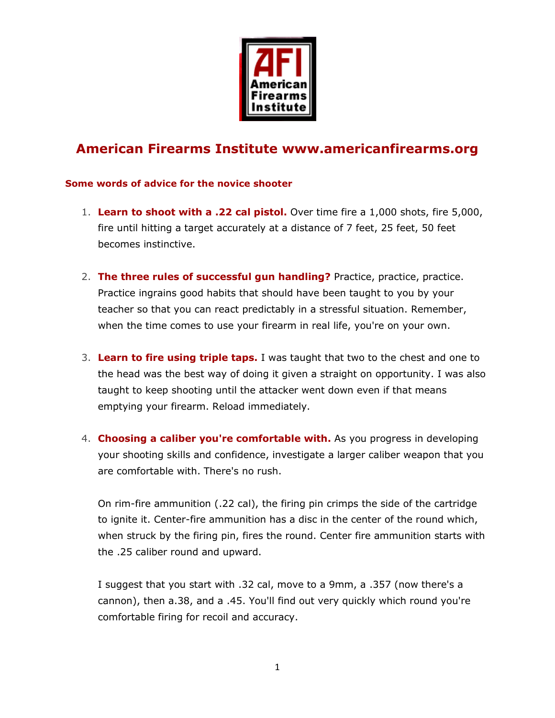

## American Firearms Institute www.americanfirearms.org

## Some words of advice for the novice shooter

- 1. Learn to shoot with a .22 cal pistol. Over time fire a 1,000 shots, fire 5,000, fire until hitting a target accurately at a distance of 7 feet, 25 feet, 50 feet becomes instinctive.
- 2. The three rules of successful gun handling? Practice, practice, practice. Practice ingrains good habits that should have been taught to you by your teacher so that you can react predictably in a stressful situation. Remember, when the time comes to use your firearm in real life, you're on your own.
- 3. Learn to fire using triple taps. I was taught that two to the chest and one to the head was the best way of doing it given a straight on opportunity. I was also taught to keep shooting until the attacker went down even if that means emptying your firearm. Reload immediately.
- 4. Choosing a caliber you're comfortable with. As you progress in developing your shooting skills and confidence, investigate a larger caliber weapon that you are comfortable with. There's no rush.

On rim-fire ammunition (.22 cal), the firing pin crimps the side of the cartridge to ignite it. Center-fire ammunition has a disc in the center of the round which, when struck by the firing pin, fires the round. Center fire ammunition starts with the .25 caliber round and upward.

I suggest that you start with .32 cal, move to a 9mm, a .357 (now there's a cannon), then a.38, and a .45. You'll find out very quickly which round you're comfortable firing for recoil and accuracy.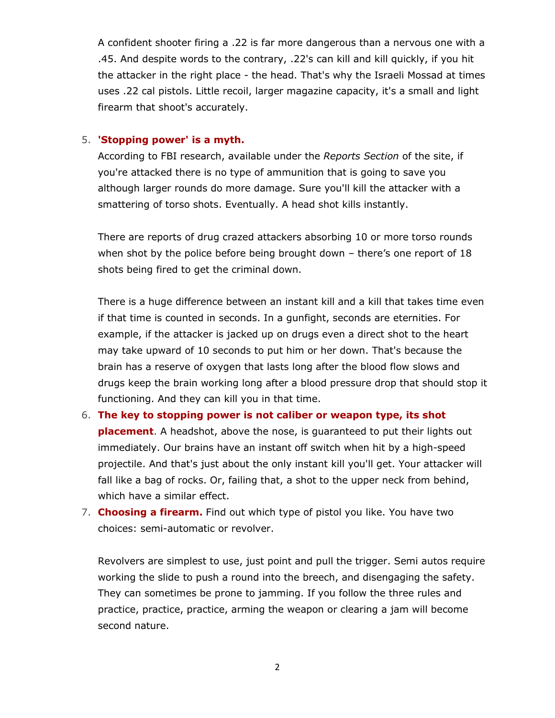A confident shooter firing a .22 is far more dangerous than a nervous one with a .45. And despite words to the contrary, .22's can kill and kill quickly, if you hit the attacker in the right place - the head. That's why the Israeli Mossad at times uses .22 cal pistols. Little recoil, larger magazine capacity, it's a small and light firearm that shoot's accurately.

## 5. 'Stopping power' is a myth.

According to FBI research, available under the Reports Section of the site, if you're attacked there is no type of ammunition that is going to save you although larger rounds do more damage. Sure you'll kill the attacker with a smattering of torso shots. Eventually. A head shot kills instantly.

There are reports of drug crazed attackers absorbing 10 or more torso rounds when shot by the police before being brought down - there's one report of 18 shots being fired to get the criminal down.

There is a huge difference between an instant kill and a kill that takes time even if that time is counted in seconds. In a gunfight, seconds are eternities. For example, if the attacker is jacked up on drugs even a direct shot to the heart may take upward of 10 seconds to put him or her down. That's because the brain has a reserve of oxygen that lasts long after the blood flow slows and drugs keep the brain working long after a blood pressure drop that should stop it functioning. And they can kill you in that time.

- 6. The key to stopping power is not caliber or weapon type, its shot **placement**. A headshot, above the nose, is quaranteed to put their lights out immediately. Our brains have an instant off switch when hit by a high-speed projectile. And that's just about the only instant kill you'll get. Your attacker will fall like a bag of rocks. Or, failing that, a shot to the upper neck from behind, which have a similar effect.
- 7. Choosing a firearm. Find out which type of pistol you like. You have two choices: semi-automatic or revolver.

Revolvers are simplest to use, just point and pull the trigger. Semi autos require working the slide to push a round into the breech, and disengaging the safety. They can sometimes be prone to jamming. If you follow the three rules and practice, practice, practice, arming the weapon or clearing a jam will become second nature.